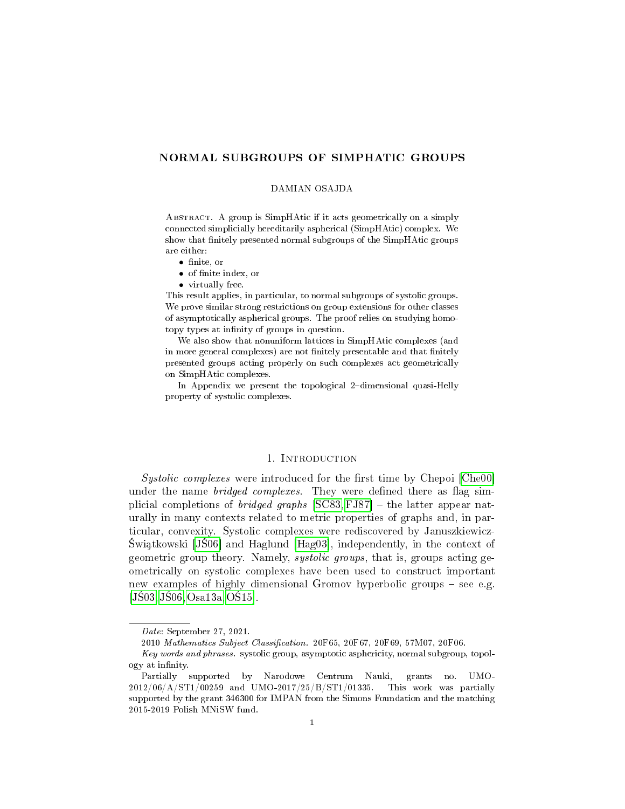# NORMAL SUBGROUPS OF SIMPHATIC GROUPS

#### DAMIAN OSAJDA

Abstract. A group is SimpHAtic if it acts geometrically on a simply connected simplicially hereditarily aspherical (SimpHAtic) complex. We show that finitely presented normal subgroups of the SimpHAtic groups are either:

- finite, or
- of finite index, or
- virtually free.

This result applies, in particular, to normal subgroups of systolic groups. We prove similar strong restrictions on group extensions for other classes of asymptotically aspherical groups. The proof relies on studying homotopy types at infinity of groups in question.

We also show that nonuniform lattices in SimpHAtic complexes (and in more general complexes) are not finitely presentable and that finitely presented groups acting properly on such complexes act geometrically on SimpHAtic complexes.

In Appendix we present the topological 2-dimensional quasi-Helly property of systolic complexes.

### 1. Introduction

 $Systolic \ complexes$  were introduced for the first time by Chepoi  $[Che00]$ under the name *bridged complexes*. They were defined there as flag simplicial completions of *bridged graphs*  $[SC83, FJ87]$  $[SC83, FJ87]$  – the latter appear naturally in many contexts related to metric properties of graphs and, in particular, convexity. Systolic complexes were rediscovered by Januszkiewicz- Świątkowski  $[J\dot{S}06]$  and Haglund  $[Hag03]$ , independently, in the context of geometric group theory. Namely, systolic groups, that is, groups acting geometrically on systolic complexes have been used to construct important new examples of highly dimensional Gromov hyperbolic groups  $-$  see e.g.  $[J\dot{S}03, J\dot{S}06, Osa13a, O\dot{S}15].$  $[J\dot{S}03, J\dot{S}06, Osa13a, O\dot{S}15].$  $[J\dot{S}03, J\dot{S}06, Osa13a, O\dot{S}15].$ 

Date: September 27, 2021.

<sup>2010</sup> Mathematics Subject Classification. 20F65, 20F67, 20F69, 57M07, 20F06.

Key words and phrases. systolic group, asymptotic asphericity, normal subgroup, topology at infinity.

Partially supported by Narodowe Centrum Nauki, grants no. UMO-2012/06/A/ST1/00259 and UMO-2017/25/B/ST1/01335. This work was partially supported by the grant 346300 for IMPAN from the Simons Foundation and the matching 2015-2019 Polish MNiSW fund.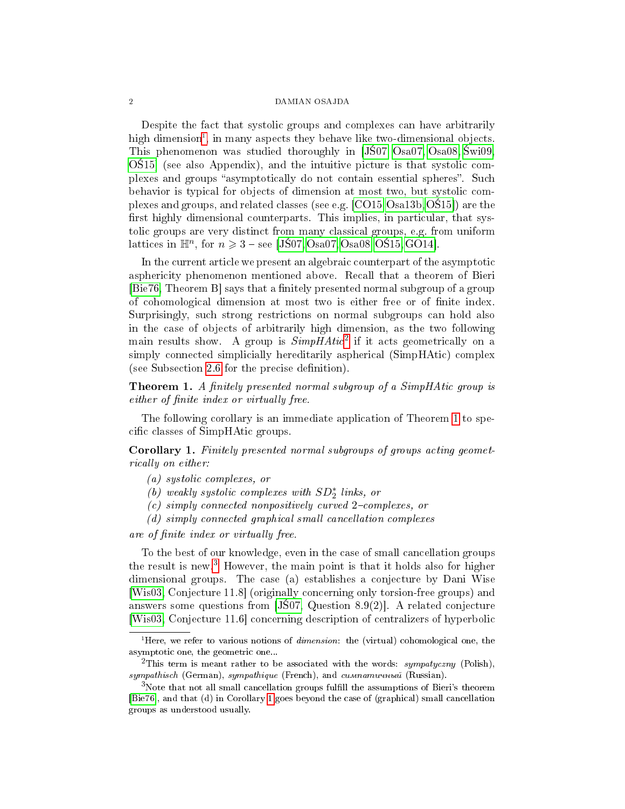Despite the fact that systolic groups and complexes can have arbitrarily high dimension<sup>[1](#page-1-0)</sup>, in many aspects they behave like two-dimensional objects. This phenomenon was studied thoroughly in [JS07, [Osa07,](#page-18-7) [Osa08,](#page-18-8) Swi09.  $O(515)$  (see also Appendix), and the intuitive picture is that systolic complexes and groups "asymptotically do not contain essential spheres". Such behavior is typical for objects of dimension at most two, but systolic complexes and groups, and related classes (see e.g. [\[CO15,](#page-17-1)[Osa13b,](#page-18-9)[O15\]](#page-18-5)) are the first highly dimensional counterparts. This implies, in particular, that systolic groups are very distinct from many classical groups, e.g. from uniform lattices in  $\mathbb{H}^n$ , for  $n \geqslant 3$  – see [J\$07, [Osa07,](#page-18-7) [Osa08,](#page-18-8) O\$15, [GO14\]](#page-18-10).

In the current article we present an algebraic counterpart of the asymptotic asphericity phenomenon mentioned above. Recall that a theorem of Bieri [\[Bie76,](#page-17-2) Theorem B] says that a finitely presented normal subgroup of a group of cohomological dimension at most two is either free or of finite index. Surprisingly, such strong restrictions on normal subgroups can hold also in the case of objects of arbitrarily high dimension, as the two following main results show. A group is  $Simplistic^2$  $Simplistic^2$  if it acts geometrically on a simply connected simplicially hereditarily aspherical (SimpHAtic) complex (see Subsection [2.6](#page-7-0) for the precise definition).

<span id="page-1-2"></span>**Theorem 1.** A finitely presented normal subgroup of a SimpHAtic group is either of finite index or virtually free.

The following corollary is an immediate application of Theorem [1](#page-1-2) to specific classes of SimpHAtic groups.

<span id="page-1-4"></span>Corollary 1. Finitely presented normal subgroups of groups acting geometrically on either:

- (a) systolic complexes, or
- $(a)$  weakly systolic complexes with  $SD_2^*$  links, or
- $(c)$  simply connected nonpositively curved 2-complexes, or
- (d) simply connected graphical small cancellation complexes

are of finite index or virtually free.

To the best of our knowledge, even in the case of small cancellation groups the result is new.<sup>[3](#page-1-3)</sup> However, the main point is that it holds also for higher dimensional groups. The case (a) establishes a conjecture by Dani Wise [\[Wis03,](#page-19-2) Conjecture 11.8] (originally concerning only torsion-free groups) and answers some questions from  $J\dot{S}07$ , Question 8.9(2). A related conjecture [\[Wis03,](#page-19-2) Conjecture 11.6] concerning description of centralizers of hyperbolic

<span id="page-1-0"></span><sup>&</sup>lt;sup>1</sup>Here, we refer to various notions of *dimension*: the (virtual) cohomological one, the asymptotic one, the geometric one...

<span id="page-1-1"></span><sup>&</sup>lt;sup>2</sup>This term is meant rather to be associated with the words: sympatyczny (Polish),  $sympathisch$  (German), sympathique (French), and cumnamuunuu (Russian).

<span id="page-1-3"></span> $3$ Note that not all small cancellation groups fulfill the assumptions of Bieri's theorem [\[Bie76\]](#page-17-2), and that (d) in Corollary [1](#page-1-4) goes beyond the case of (graphical) small cancellation groups as understood usually.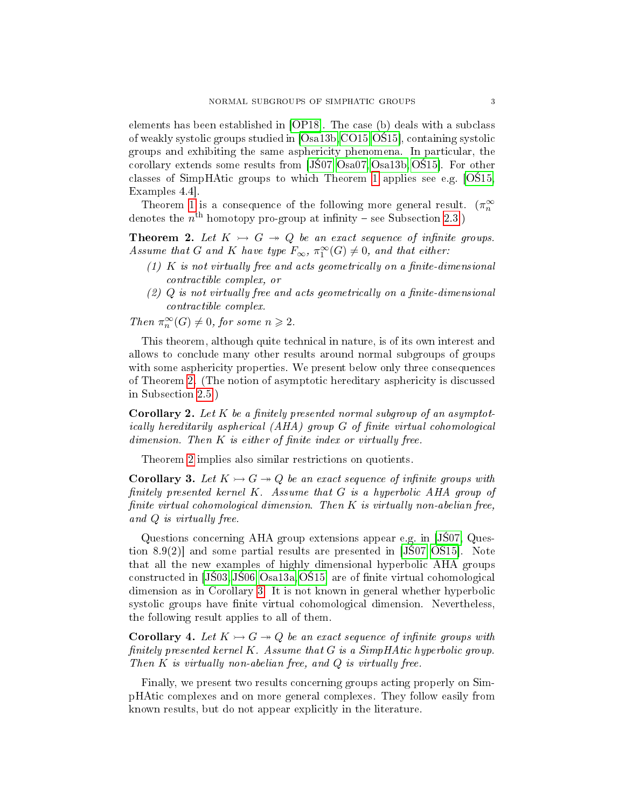elements has been established in [\[OP18\]](#page-18-11). The case (b) deals with a subclass of weakly systolic groups studied in  $[Osa13b, CO15, O$15]$  $[Osa13b, CO15, O$15]$  $[Osa13b, CO15, O$15]$  $[Osa13b, CO15, O$15]$ , containing systolic groups and exhibiting the same asphericity phenomena. In particular, the corollary extends some results from  $[J$07, Osa07, Osa13b, O$15]$  $[J$07, Osa07, Osa13b, O$15]$  $[J$07, Osa07, Osa13b, O$15]$  $[J$07, Osa07, Osa13b, O$15]$ . For other classes of SimpHAtic groups to which Theorem [1](#page-1-2) applies see e.g.  $[O515,$ Examples 4.4].

Theorem [1](#page-1-2) is a consequence of the following more general result.  $(\pi_n^{\infty})$ denotes the  $n^{\text{th}}$  homotopy pro-group at infinity – see Subsection [2.3.](#page-5-0))

<span id="page-2-0"></span>**Theorem 2.** Let  $K \rightarrowtail G \rightarrow Q$  be an exact sequence of infinite groups. Assume that G and K have type  $F_{\infty}$ ,  $\pi_1^{\infty}(G) \neq 0$ , and that either:

- $(1)$  K is not virtually free and acts geometrically on a finite-dimensional contractible complex, or
- $(2)$  Q is not virtually free and acts geometrically on a finite-dimensional contractible complex.

Then  $\pi^\infty_n(G) \neq 0$ , for some  $n \geqslant 2$ .

This theorem, although quite technical in nature, is of its own interest and allows to conclude many other results around normal subgroups of groups with some asphericity properties. We present below only three consequences of Theorem [2.](#page-2-0) (The notion of asymptotic hereditary asphericity is discussed in Subsection [2.5.](#page-6-0))

<span id="page-2-2"></span>**Corollary 2.** Let  $K$  be a finitely presented normal subgroup of an asymptotically hereditarily aspherical  $(AHA)$  group  $G$  of finite virtual cohomological  $dimension.$  Then  $K$  is either of finite index or virtually free.

Theorem [2](#page-2-0) implies also similar restrictions on quotients.

<span id="page-2-1"></span>**Corollary 3.** Let  $K \rightarrowtail G \rightarrow Q$  be an exact sequence of infinite groups with finitely presented kernel  $K$ . Assume that  $G$  is a hyperbolic AHA group of finite virtual cohomological dimension. Then  $K$  is virtually non-abelian free, and Q is virtually free.

Questions concerning AHA group extensions appear e.g. in  $J\$ {S}07, Question  $8.9(2)$ ] and some partial results are presented in [J $\hat{S}07, O\hat{S}15$ ]. Note that all the new examples of highly dimensional hyperbolic AHA groups constructed in  $[J$03,J$06,O$a13a,O$15]$  are of finite virtual cohomological dimension as in Corollary [3.](#page-2-1) It is not known in general whether hyperbolic systolic groups have finite virtual cohomological dimension. Nevertheless, the following result applies to all of them.

<span id="page-2-3"></span>**Corollary 4.** Let  $K \rightarrowtail G \rightarrow Q$  be an exact sequence of infinite groups with finitely presented kernel  $K$ . Assume that  $G$  is a SimpHAtic hyperbolic group. Then  $K$  is virtually non-abelian free, and  $Q$  is virtually free.

Finally, we present two results concerning groups acting properly on SimpHAtic complexes and on more general complexes. They follow easily from known results, but do not appear explicitly in the literature.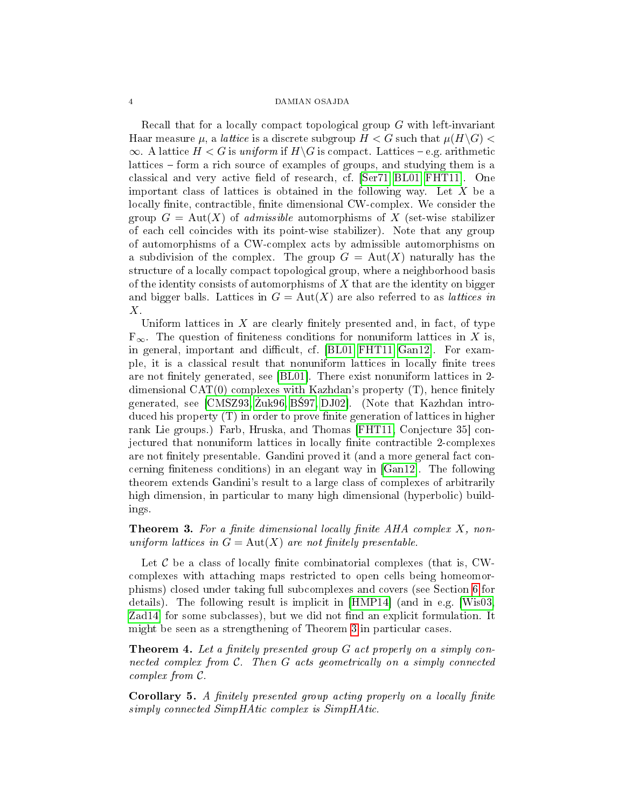Recall that for a locally compact topological group G with left-invariant Haar measure  $\mu$ , a *lattice* is a discrete subgroup  $H < G$  such that  $\mu(H\backslash G) <$  $\infty$ . A lattice  $H < G$  is uniform if  $H \backslash G$  is compact. Lattices – e.g. arithmetic lattices – form a rich source of examples of groups, and studying them is a classical and very active field of research, cf. [\[Ser71,](#page-19-3) [BL01,](#page-17-3) [FHT11\]](#page-18-12). One important class of lattices is obtained in the following way. Let  $X$  be a locally finite, contractible, finite dimensional CW-complex. We consider the group  $G = Aut(X)$  of *admissible* automorphisms of X (set-wise stabilizer of each cell coincides with its point-wise stabilizer). Note that any group of automorphisms of a CW-complex acts by admissible automorphisms on a subdivision of the complex. The group  $G = Aut(X)$  naturally has the structure of a locally compact topological group, where a neighborhood basis of the identity consists of automorphisms of  $X$  that are the identity on bigger and bigger balls. Lattices in  $G = Aut(X)$  are also referred to as *lattices in* X.

Uniform lattices in  $X$  are clearly finitely presented and, in fact, of type  $F_{\infty}$ . The question of finiteness conditions for nonuniform lattices in X is, in general, important and difficult, cf.  $[BL01, FHT11, Gan12]$  $[BL01, FHT11, Gan12]$  $[BL01, FHT11, Gan12]$ . For example, it is a classical result that nonuniform lattices in locally finite trees are not finitely generated, see  $[BL01]$ . There exist nonuniform lattices in 2dimensional CAT $(0)$  complexes with Kazhdan's property  $(T)$ , hence finitely generated, see  $[CMS93, \overline{Z}uk96, \overline{B}597, \overline{D}J02]$ . (Note that Kazhdan introduced his property  $(T)$  in order to prove finite generation of lattices in higher rank Lie groups.) Farb, Hruska, and Thomas [\[FHT11,](#page-18-12) Conjecture 35] conjectured that nonuniform lattices in locally finite contractible 2-complexes are not finitely presentable. Gandini proved it (and a more general fact concerning finiteness conditions) in an elegant way in  $[Gan12]$ . The following theorem extends Gandini's result to a large class of complexes of arbitrarily high dimension, in particular to many high dimensional (hyperbolic) buildings.

# <span id="page-3-0"></span>**Theorem 3.** For a finite dimensional locally finite  $AHA$  complex X, nonuniform lattices in  $G = Aut(X)$  are not finitely presentable.

Let  $\mathcal C$  be a class of locally finite combinatorial complexes (that is, CWcomplexes with attaching maps restricted to open cells being homeomorphisms) closed under taking full subcomplexes and covers (see Section [6](#page-14-0) for details). The following result is implicit in [\[HMP14\]](#page-18-15) (and in e.g. [\[Wis03,](#page-19-2) Zad<sub>14</sub> for some subclasses), but we did not find an explicit formulation. It might be seen as a strengthening of Theorem [3](#page-3-0) in particular cases.

<span id="page-3-1"></span>**Theorem 4.** Let a finitely presented group  $G$  act properly on a simply connected complex from  $C$ . Then  $G$  acts geometrically on a simply connected complex from C.

Corollary 5. A finitely presented group acting properly on a locally finite simply connected SimpHAtic complex is SimpHAtic.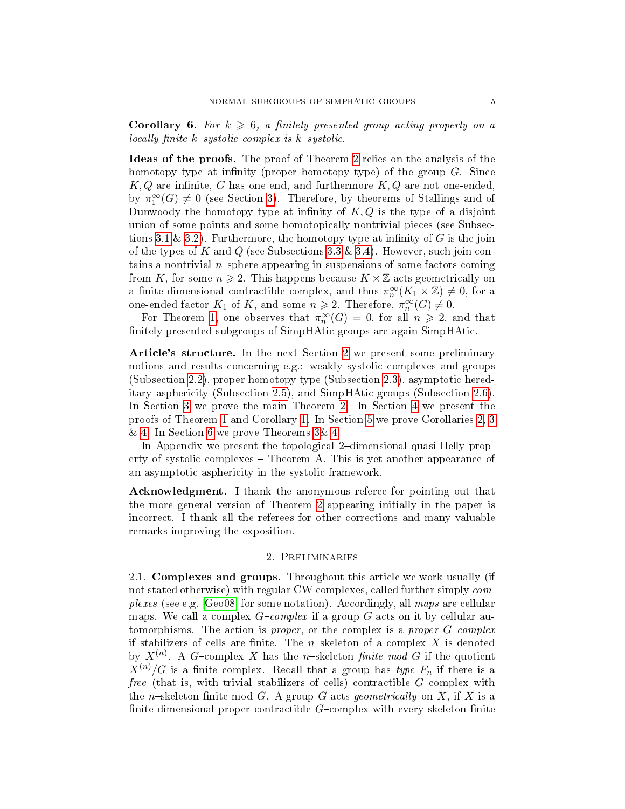**Corollary 6.** For  $k \geq 6$ , a finitely presented group acting properly on a locally finite  $k$ -systolic complex is  $k$ -systolic.

Ideas of the proofs. The proof of Theorem [2](#page-2-0) relies on the analysis of the homotopy type at infinity (proper homotopy type) of the group  $G$ . Since  $K, Q$  are infinite, G has one end, and furthermore  $K, Q$  are not one-ended. by  $\pi_1^{\infty}(G) \neq 0$  (see Section [3\)](#page-8-0). Therefore, by theorems of Stallings and of Dunwoody the homotopy type at infinity of  $K, Q$  is the type of a disjoint union of some points and some homotopically nontrivial pieces (see Subsec-tions [3.1](#page-8-1) & [3.2\)](#page-8-2). Furthermore, the homotopy type at infinity of G is the join of the types of K and Q (see Subsections [3.3](#page-9-0) & [3.4\)](#page-12-0). However, such join contains a nontrivial  $n$ -sphere appearing in suspensions of some factors coming from K, for some  $n \geq 2$ . This happens because  $K \times \mathbb{Z}$  acts geometrically on a finite-dimensional contractible complex, and thus  $\pi_n^{\infty}(K_1 \times \mathbb{Z}) \neq 0$ , for a one-ended factor  $K_1$  of K, and some  $n \geqslant 2$ . Therefore,  $\pi_n^{\infty}(G) \neq 0$ .

For Theorem [1,](#page-1-2) one observes that  $\pi_n^{\infty}(G) = 0$ , for all  $n \geq 2$ , and that nitely presented subgroups of SimpHAtic groups are again SimpHAtic.

Article's structure. In the next Section [2](#page-4-0) we present some preliminary notions and results concerning e.g.: weakly systolic complexes and groups (Subsection [2.2\)](#page-5-1), proper homotopy type (Subsection [2.3\)](#page-5-0), asymptotic hereditary asphericity (Subsection [2.5\)](#page-6-0), and SimpHAtic groups (Subsection [2.6\)](#page-7-0). In Section [3](#page-8-0) we prove the main Theorem [2.](#page-2-0) In Section [4](#page-13-0) we present the proofs of Theorem [1](#page-1-2) and Corollary [1.](#page-1-4) In Section [5](#page-14-1) we prove Corollaries [2,](#page-2-2) [3](#page-2-1) & [4.](#page-2-3) In Section [6](#page-14-0) we prove Theorems [3&](#page-3-0) [4.](#page-3-1)

In Appendix we present the topological 2-dimensional quasi-Helly property of systolic complexes Theorem A. This is yet another appearance of an asymptotic asphericity in the systolic framework.

Acknowledgment. I thank the anonymous referee for pointing out that the more general version of Theorem [2](#page-2-0) appearing initially in the paper is incorrect. I thank all the referees for other corrections and many valuable remarks improving the exposition.

### 2. Preliminaries

<span id="page-4-0"></span>2.1. Complexes and groups. Throughout this article we work usually (if not stated otherwise) with regular CW complexes, called further simply complexes (see e.g. [\[Geo08\]](#page-18-16) for some notation). Accordingly, all maps are cellular maps. We call a complex  $G$ -complex if a group G acts on it by cellular automorphisms. The action is *proper*, or the complex is a *proper G-complex* if stabilizers of cells are finite. The  $n$ -skeleton of a complex X is denoted by  $X^{(n)}$ . A G-complex X has the n-skeleton finite mod G if the quotient  $X^{(n)}/G$  is a finite complex. Recall that a group has type  $F_n$  if there is a free (that is, with trivial stabilizers of cells) contractible  $G$ -complex with the n-skeleton finite mod G. A group G acts geometrically on X, if X is a finite-dimensional proper contractible  $G$ -complex with every skeleton finite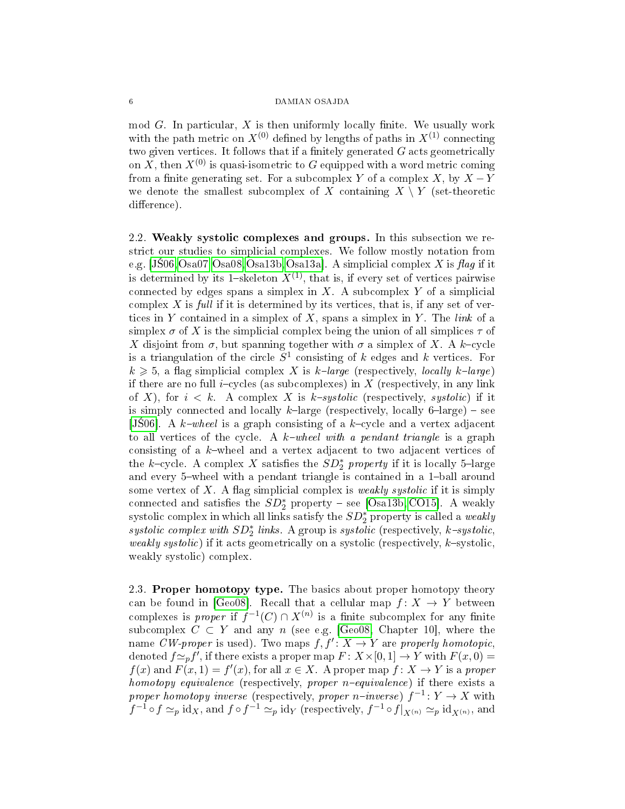mod  $G$ . In particular,  $X$  is then uniformly locally finite. We usually work with the path metric on  $X^{(0)}$  defined by lengths of paths in  $X^{(1)}$  connecting two given vertices. It follows that if a finitely generated  $G$  acts geometrically on X, then  $X^{(0)}$  is quasi-isometric to G equipped with a word metric coming from a finite generating set. For a subcomplex Y of a complex  $X$ , by  $X - Y$ we denote the smallest subcomplex of X containing  $X \setminus Y$  (set-theoretic difference).

<span id="page-5-1"></span>2.2. Weakly systolic complexes and groups. In this subsection we restrict our studies to simplicial complexes. We follow mostly notation from e.g.  $[J\text{S06},\text{Osa07},\text{Osa08},\text{Osa13b},\text{Osa13a}]$ . A simplicial complex X is flag if it is determined by its 1-skeleton  $X^{(1)}$ , that is, if every set of vertices pairwise connected by edges spans a simplex in  $X$ . A subcomplex Y of a simplicial complex  $X$  is full if it is determined by its vertices, that is, if any set of vertices in Y contained in a simplex of X, spans a simplex in Y. The link of a simplex  $\sigma$  of X is the simplicial complex being the union of all simplices  $\tau$  of X disjoint from  $\sigma$ , but spanning together with  $\sigma$  a simplex of X. A k-cycle is a triangulation of the circle  $S^1$  consisting of k edges and k vertices. For  $k \geq 5$ , a flag simplicial complex X is k-large (respectively, locally k-large) if there are no full *i*-cycles (as subcomplexes) in X (respectively, in any link of X), for  $i < k$ . A complex X is k-systolic (respectively, systolic) if it is simply connected and locally  $k$ -large (respectively, locally 6-large) – see [JS06]. A  $k$ -wheel is a graph consisting of a  $k$ -cycle and a vertex adjacent to all vertices of the cycle. A  $k$ -wheel with a pendant triangle is a graph consisting of a  $k$ -wheel and a vertex adjacent to two adjacent vertices of the k-cycle. A complex X satisfies the  $SD_2^*$  property if it is locally 5-large and every 5-wheel with a pendant triangle is contained in a 1-ball around some vertex of  $X$ . A flag simplicial complex is *weakly systolic* if it is simply connected and satisfies the  $SD_2^*$  property – see [\[Osa13b,](#page-18-9) [CO15\]](#page-17-1). A weakly systolic complex in which all links satisfy the  $SD_2^*$  property is called a *weakly* systolic complex with  $SD_2^*$  links. A group is systolic (respectively, k-systolic, weakly systolic) if it acts geometrically on a systolic (respectively,  $k$ -systolic, weakly systolic) complex.

<span id="page-5-0"></span>2.3. Proper homotopy type. The basics about proper homotopy theory can be found in [\[Geo08\]](#page-18-16). Recall that a cellular map  $f: X \to Y$  between complexes is *proper* if  $f^{-1}(C) \cap X^{(n)}$  is a finite subcomplex for any finite subcomplex  $C \subset Y$  and any n (see e.g. [\[Geo08,](#page-18-16) Chapter 10], where the name CW-proper is used). Two maps  $f, f': X \to Y$  are properly homotopic, denoted  $f \simeq_{p} f'$ , if there exists a proper map  $F : X \times [0, 1] \rightarrow Y$  with  $F(x, 0) =$  $f(x)$  and  $F(x, 1) = f'(x)$ , for all  $x \in X$ . A proper map  $f: X \to Y$  is a proper homotopy equivalence (respectively, proper  $n$ -equivalence) if there exists a proper homotopy inverse (respectively, proper n-inverse)  $f^{-1}: Y \to X$  with  $f^{-1} \circ f \simeq_p \text{id}_X$ , and  $f \circ f^{-1} \simeq_p \text{id}_Y$  (respectively,  $f^{-1} \circ f|_{X^{(n)}} \simeq_p \text{id}_{X^{(n)}}$ , and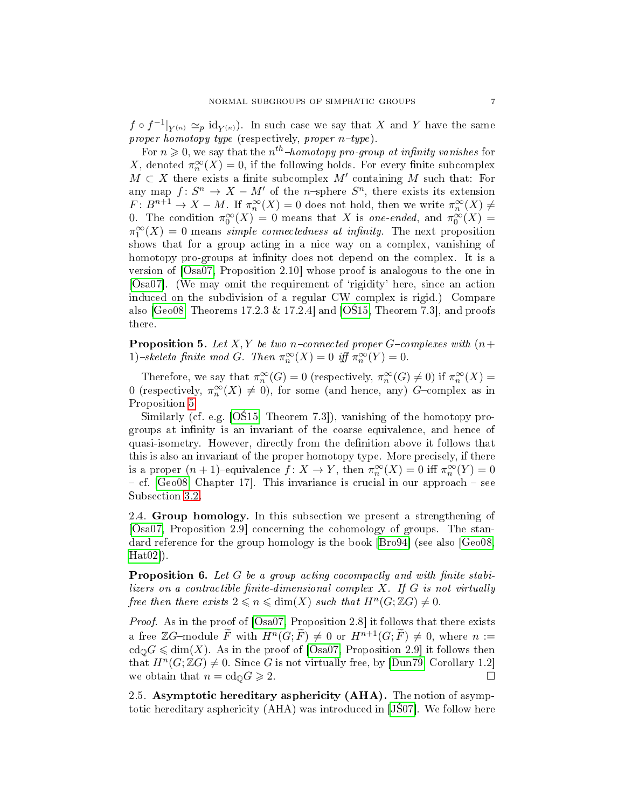$f \circ f^{-1}|_{Y^{(n)}} \simeq_p {\rm id}_{Y^{(n)}}$ . In such case we say that X and Y have the same proper homotopy type (respectively, proper  $n$ -type).

For  $n \geqslant 0$ , we say that the  $n^{th}$ -homotopy pro-group at infinity vanishes for X, denoted  $\pi_n^{\infty}(X) = 0$ , if the following holds. For every finite subcomplex  $M \subset X$  there exists a finite subcomplex  $M'$  containing M such that: For any map  $f: S^n \to X - M'$  of the *n*-sphere  $S^n$ , there exists its extension  $F: B^{n+1} \to X-M$ . If  $\pi_n^{\infty}(X) = 0$  does not hold, then we write  $\pi_n^{\infty}(X) \neq$ 0. The condition  $\pi_0^{\infty}(X) = 0$  means that X is *one-ended*, and  $\pi_0^{\infty}(X) =$  $\pi_1^{\infty}(X) = 0$  means *simple connectedness at infinity*. The next proposition shows that for a group acting in a nice way on a complex, vanishing of homotopy pro-groups at infinity does not depend on the complex. It is a version of [\[Osa07,](#page-18-7) Proposition 2.10] whose proof is analogous to the one in  $[Osa07]$ . (We may omit the requirement of 'rigidity' here, since an action induced on the subdivision of a regular CW complex is rigid.) Compare also [\[Geo08,](#page-18-16) Theorems  $17.2.3 \& 17.2.4$ ] and [OS15, Theorem 7.3], and proofs there.

<span id="page-6-1"></span>**Proposition 5.** Let X, Y be two n-connected proper G-complexes with  $(n+$ 1)-skeleta finite mod G. Then  $\pi_n^{\infty}(X) = 0$  iff  $\pi_n^{\infty}(Y) = 0$ .

Therefore, we say that  $\pi_n^{\infty}(G) = 0$  (respectively,  $\pi_n^{\infty}(G) \neq 0$ ) if  $\pi_n^{\infty}(X) =$ 0 (respectively,  $\pi_n^{\infty}(X) \neq 0$ ), for some (and hence, any) G-complex as in Proposition [5.](#page-6-1)

Similarly (cf. e.g.  $[O$15, Theorem 7.3]$ ), vanishing of the homotopy progroups at infinity is an invariant of the coarse equivalence, and hence of quasi-isometry. However, directly from the denition above it follows that this is also an invariant of the proper homotopy type. More precisely, if there is a proper  $(n+1)$ -equivalence  $f: X \to Y$ , then  $\pi_n^{\infty}(X) = 0$  iff  $\pi_n^{\infty}(Y) = 0$  $-$  cf. [\[Geo08,](#page-18-16) Chapter 17]. This invariance is crucial in our approach  $-$  see Subsection [3.2.](#page-8-2)

2.4. Group homology. In this subsection we present a strengthening of [\[Osa07,](#page-18-7) Proposition 2.9] concerning the cohomology of groups. The standard reference for the group homology is the book [\[Bro94\]](#page-17-6) (see also [\[Geo08,](#page-18-16)  $[\text{Hat}02]$ .

<span id="page-6-2"></span>**Proposition 6.** Let  $G$  be a group acting cocompactly and with finite stabilizers on a contractible finite-dimensional complex  $X$ . If  $G$  is not virtually free then there exists  $2 \leqslant n \leqslant \dim(X)$  such that  $H^n(G; \mathbb{Z}G) \neq 0$ .

Proof. As in the proof of [\[Osa07,](#page-18-7) Proposition 2.8] it follows that there exists a free ZG-module  $\widetilde{F}$  with  $H^n(G; \widetilde{F}) \neq 0$  or  $H^{n+1}(G; \widetilde{F}) \neq 0$ , where  $n :=$  $\text{cd}_{\mathbb{Q}}G \leq \dim(X)$ . As in the proof of [\[Osa07,](#page-18-7) Proposition 2.9] it follows then that  $H^n(G; \mathbb{Z}G) \neq 0$ . Since G is not virtually free, by [\[Dun79,](#page-17-7) Corollary 1.2] we obtain that  $n = \text{cd}_0 G \geqslant 2$ .

<span id="page-6-0"></span>2.5. Asymptotic hereditary asphericity (AHA). The notion of asymptotic hereditary asphericity  $(AHA)$  was introduced in [JS07]. We follow here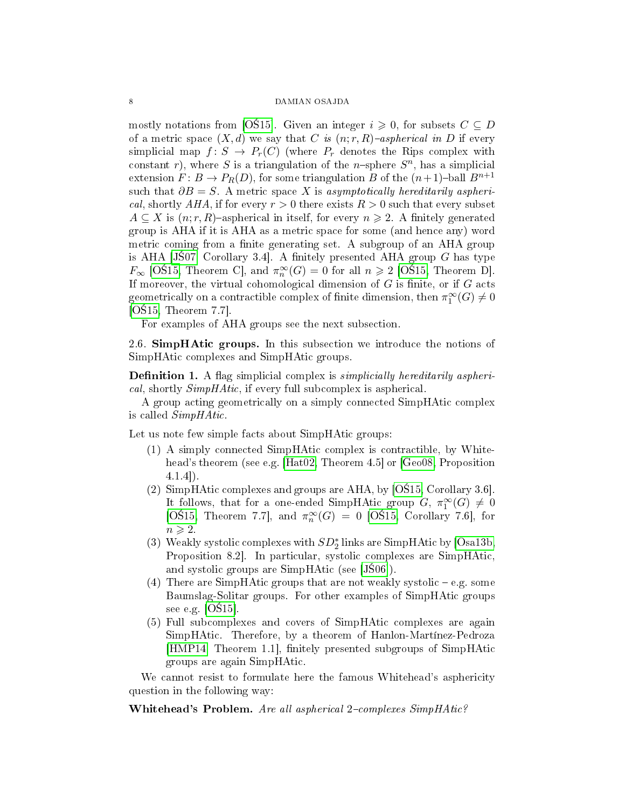mostly notations from [OS15]. Given an integer  $i \geq 0$ , for subsets  $C \subseteq D$ of a metric space  $(X, d)$  we say that C is  $(n; r, R)$ -aspherical in D if every simplicial map  $f: S \to P_r(C)$  (where  $P_r$  denotes the Rips complex with constant r), where S is a triangulation of the *n*-sphere  $S<sup>n</sup>$ , has a simplicial extension  $F: B \to P_R(D)$ , for some triangulation B of the  $(n+1)$ -ball  $B^{n+1}$ such that  $\partial B = S$ . A metric space X is asymptotically hereditarily aspherical, shortly AHA, if for every  $r > 0$  there exists  $R > 0$  such that every subset  $A \subseteq X$  is  $(n; r, R)$ -aspherical in itself, for every  $n \geq 2$ . A finitely generated group is AHA if it is AHA as a metric space for some (and hence any) word metric coming from a finite generating set. A subgroup of an AHA group is AHA [JS07, Corollary 3.4]. A finitely presented AHA group  $G$  has type  $F_{\infty}$  [OS15, Theorem C], and  $\pi_n^{\infty}(G) = 0$  for all  $n \geq 2$  [OS15, Theorem D]. If moreover, the virtual cohomological dimension of  $G$  is finite, or if  $G$  acts geometrically on a contractible complex of finite dimension, then  $\pi_1^{\infty}(G) \neq 0$  $[O$15, Theorem 7.7]$ .

For examples of AHA groups see the next subsection.

<span id="page-7-0"></span>2.6. SimpHAtic groups. In this subsection we introduce the notions of SimpHAtic complexes and SimpHAtic groups.

**Definition 1.** A flag simplicial complex is *simplicially hereditarily aspheri*cal, shortly SimpHAtic, if every full subcomplex is aspherical.

A group acting geometrically on a simply connected SimpHAtic complex is called SimpHAtic.

Let us note few simple facts about SimpHAtic groups:

- (1) A simply connected SimpHAtic complex is contractible, by White-head's theorem (see e.g. [\[Hat02,](#page-18-17) Theorem 4.5] or [\[Geo08,](#page-18-16) Proposition 4.1.4]).
- (2) SimpHAtic complexes and groups are AHA, by  $[OS15, Corollary 3.6]$ . It follows, that for a one-ended SimpHAtic group  $G, \pi_1^{\infty}(G) \neq 0$ [OS<sup>15</sup>, Theorem 7.7], and  $\pi_n^{\infty}(G) = 0$  [OS<sup>15</sup>, Corollary 7.6], for  $n \geqslant 2$ .
- (3) Weakly systolic complexes with  $SD_2^*$  links are SimpHAtic by [\[Osa13b,](#page-18-9) Proposition 8.2]. In particular, systolic complexes are SimpHAtic, and systolic groups are SimpHAtic (see [JS06]).
- (4) There are SimpHAtic groups that are not weakly systolic  $-e.g.$  some Baumslag-Solitar groups. For other examples of SimpHAtic groups see e.g.  $[OS15]$ .
- (5) Full subcomplexes and covers of SimpHAtic complexes are again SimpHAtic. Therefore, by a theorem of Hanlon-Martínez-Pedroza [\[HMP14,](#page-18-15) Theorem 1.1], finitely presented subgroups of SimpHAtic groups are again SimpHAtic.

We cannot resist to formulate here the famous Whitehead's asphericity question in the following way:

Whitehead's Problem. Are all aspherical  $2$ -complexes  $SimpHAtic$ ?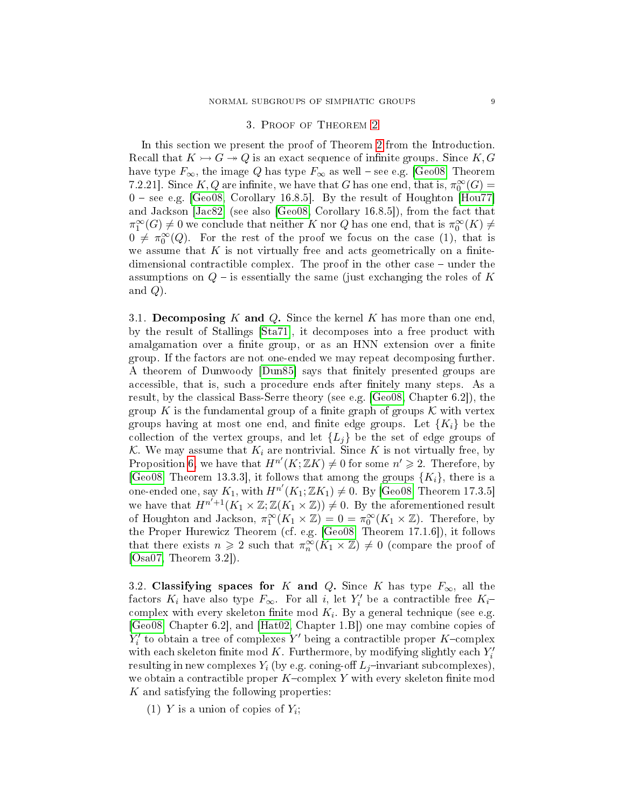## 3. Proof of Theorem [2](#page-2-0)

<span id="page-8-0"></span>In this section we present the proof of Theorem [2](#page-2-0) from the Introduction. Recall that  $K \rightarrow G \rightarrow Q$  is an exact sequence of infinite groups. Since K, G have type  $F_{\infty}$ , the image Q has type  $F_{\infty}$  as well – see e.g. [\[Geo08,](#page-18-16) Theorem 7.2.21]. Since  $K, Q$  are infinite, we have that G has one end, that is,  $\pi_0^{\infty}(G)$  =  $0$  – see e.g. [\[Geo08,](#page-18-16) Corollary 16.8.5]. By the result of Houghton [\[Hou77\]](#page-18-18) and Jackson [\[Jac82\]](#page-18-19) (see also [\[Geo08,](#page-18-16) Corollary 16.8.5]), from the fact that  $\pi_1^{\infty}(G) \neq 0$  we conclude that neither K nor Q has one end, that is  $\pi_0^{\infty}(K) \neq$  $0 \neq \pi_0^{\infty}(Q)$ . For the rest of the proof we focus on the case (1), that is we assume that  $K$  is not virtually free and acts geometrically on a finitedimensional contractible complex. The proof in the other case  $-$  under the assumptions on  $Q$  – is essentially the same (just exchanging the roles of K and  $Q$ ).

<span id="page-8-1"></span>3.1. Decomposing K and Q. Since the kernel K has more than one end, by the result of Stallings [\[Sta71\]](#page-19-6), it decomposes into a free product with amalgamation over a finite group, or as an HNN extension over a finite group. If the factors are not one-ended we may repeat decomposing further. A theorem of Dunwoody [\[Dun85\]](#page-18-20) says that finitely presented groups are accessible, that is, such a procedure ends after finitely many steps. As a result, by the classical Bass-Serre theory (see e.g. [\[Geo08,](#page-18-16) Chapter 6.2]), the group K is the fundamental group of a finite graph of groups  $\mathcal K$  with vertex groups having at most one end, and finite edge groups. Let  ${K_i}$  be the collection of the vertex groups, and let  $\{L_j\}$  be the set of edge groups of K. We may assume that  $K_i$  are nontrivial. Since K is not virtually free, by Proposition [6,](#page-6-2) we have that  $H^{n'}(K; \mathbb{Z}K) \neq 0$  for some  $n' \geq 2$ . Therefore, by [\[Geo08,](#page-18-16) Theorem 13.3.3], it follows that among the groups  $\{K_i\}$ , there is a one-ended one, say  $K_1$ , with  $H^{n'}(K_1; \mathbb{Z}K_1) \neq 0$ . By [\[Geo08,](#page-18-16) Theorem 17.3.5] we have that  $H^{n'+1}(K_1 \times \mathbb{Z}; \mathbb{Z}(K_1 \times \mathbb{Z})) \neq 0$ . By the aforementioned result of Houghton and Jackson,  $\pi_1^{\infty}(K_1 \times \mathbb{Z}) = 0 = \pi_0^{\infty}(K_1 \times \mathbb{Z})$ . Therefore, by the Proper Hurewicz Theorem (cf. e.g. [\[Geo08,](#page-18-16) Theorem 17.1.6]), it follows that there exists  $n \geq 2$  such that  $\pi_n^{\infty}(K_1 \times \mathbb{Z}) \neq 0$  (compare the proof of [\[Osa07,](#page-18-7) Theorem 3.2]).

<span id="page-8-2"></span>3.2. Classifying spaces for K and Q. Since K has type  $F_{\infty}$ , all the factors  $K_i$  have also type  $F_{\infty}$ . For all i, let  $Y'_i$  be a contractible free  $K_i$ complex with every skeleton finite mod  $K_i$ . By a general technique (see e.g. [\[Geo08,](#page-18-16) Chapter 6.2], and [\[Hat02,](#page-18-17) Chapter 1.B]) one may combine copies of  $Y'_i$  to obtain a tree of complexes  $Y'$  being a contractible proper K-complex with each skeleton finite mod  $K$ . Furthermore, by modifying slightly each  $Y'_i$ resulting in new complexes  $Y_i$  (by e.g. coning-off  $L_i$ -invariant subcomplexes), we obtain a contractible proper  $K$ -complex Y with every skeleton finite mod K and satisfying the following properties:

(1) Y is a union of copies of  $Y_i$ ;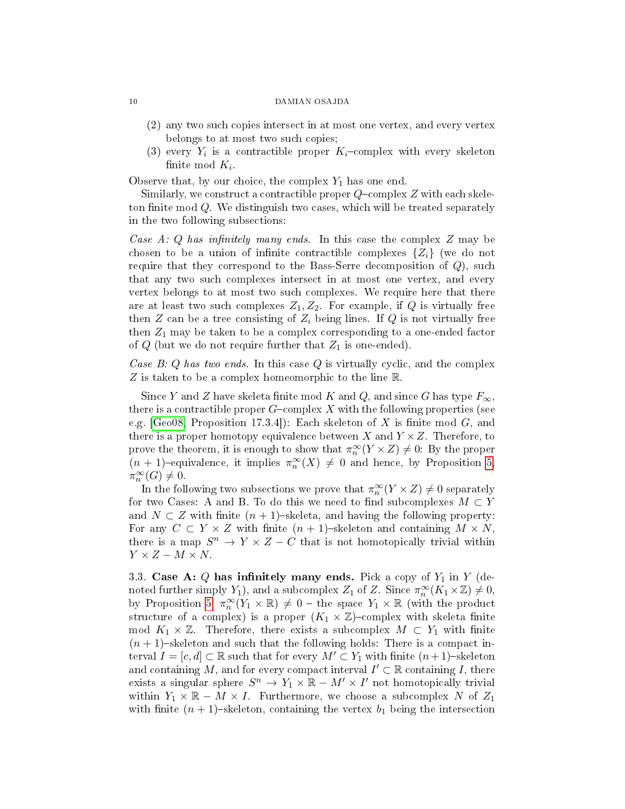- (2) any two such copies intersect in at most one vertex, and every vertex belongs to at most two such copies;
- (3) every  $Y_i$  is a contractible proper  $K_i$ -complex with every skeleton finite mod  $K_i$ .

Observe that, by our choice, the complex  $Y_1$  has one end.

Similarly, we construct a contractible proper  $Q$ -complex  $Z$  with each skeleton finite mod  $Q$ . We distinguish two cases, which will be treated separately in the two following subsections:

Case A: Q has infinitely many ends. In this case the complex  $Z$  may be chosen to be a union of infinite contractible complexes  $\{Z_i\}$  (we do not require that they correspond to the Bass-Serre decomposition of  $Q$ ), such that any two such complexes intersect in at most one vertex, and every vertex belongs to at most two such complexes. We require here that there are at least two such complexes  $Z_1, Z_2$ . For example, if Q is virtually free then  $Z$  can be a tree consisting of  $Z_i$  being lines. If  $Q$  is not virtually free then  $Z_1$  may be taken to be a complex corresponding to a one-ended factor of  $Q$  (but we do not require further that  $Z_1$  is one-ended).

Case B: Q has two ends. In this case  $Q$  is virtually cyclic, and the complex Z is taken to be a complex homeomorphic to the line R.

Since Y and Z have skeleta finite mod K and Q, and since G has type  $F_{\infty}$ , there is a contractible proper  $G$ -complex X with the following properties (see e.g.  $\text{[Geo}8, \text{Proposition 17.3.4]}$ : Each skeleton of X is finite mod G, and there is a proper homotopy equivalence between  $X$  and  $Y \times Z$ . Therefore, to prove the theorem, it is enough to show that  $\pi_n^{\infty}(Y \times Z) \neq 0$ . By the proper  $(n+1)$ -equivalence, it implies  $\pi_n^{\infty}(X) \neq 0$  and hence, by Proposition [5,](#page-6-1)  $\pi^{\infty}_n(G) \neq 0.$ 

In the following two subsections we prove that  $\pi_n^{\infty}(Y \times Z) \neq 0$  separately for two Cases: A and B. To do this we need to find subcomplexes  $M \subset Y$ and  $N \subset Z$  with finite  $(n + 1)$ -skeleta, and having the following property: For any  $C \subset Y \times Z$  with finite  $(n + 1)$ -skeleton and containing  $M \times N$ , there is a map  $S^n \to Y \times Z - C$  that is not homotopically trivial within  $Y \times Z - M \times N$ .

<span id="page-9-0"></span>3.3. Case A: Q has infinitely many ends. Pick a copy of  $Y_1$  in Y (denoted further simply  $Y_1$ ), and a subcomplex  $Z_1$  of  $Z$ . Since  $\pi_n^{\infty}(K_1 \times \mathbb{Z}) \neq 0$ , by Proposition [5,](#page-6-1)  $\pi_n^{\infty}(Y_1 \times \mathbb{R}) \neq 0$  – the space  $Y_1 \times \mathbb{R}$  (with the product structure of a complex) is a proper  $(K_1 \times \mathbb{Z})$ -complex with skeleta finite mod  $K_1 \times \mathbb{Z}$ . Therefore, there exists a subcomplex  $M \subset Y_1$  with finite  $(n + 1)$ -skeleton and such that the following holds: There is a compact interval  $I = [c, d] \subset \mathbb{R}$  such that for every  $M' \subset Y_1$  with finite  $(n+1)$ -skeleton and containing M, and for every compact interval  $I' \subset \mathbb{R}$  containing I, there exists a singular sphere  $S^n \to Y_1 \times \mathbb{R} - M' \times I'$  not homotopically trivial within  $Y_1 \times \mathbb{R} - M \times I$ . Furthermore, we choose a subcomplex N of  $Z_1$ with finite  $(n + 1)$ -skeleton, containing the vertex  $b_1$  being the intersection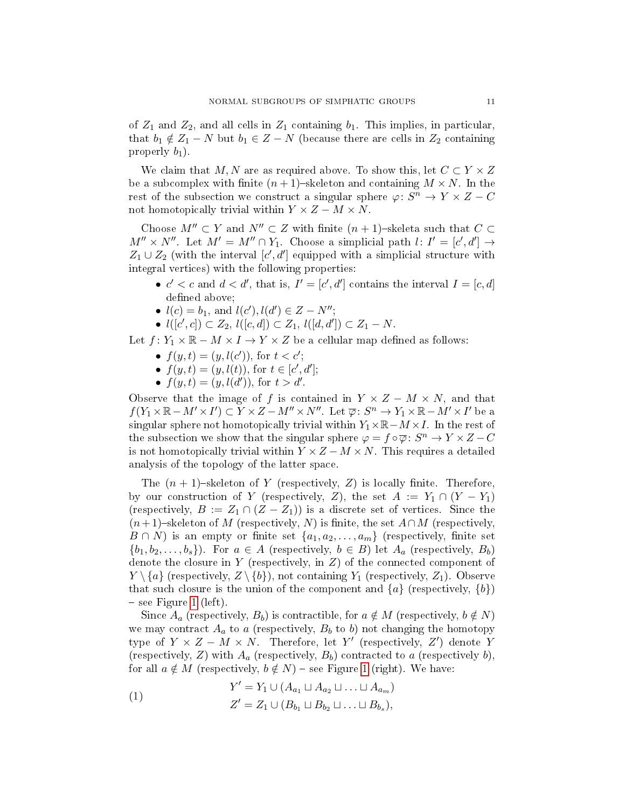of  $Z_1$  and  $Z_2$ , and all cells in  $Z_1$  containing  $b_1$ . This implies, in particular, that  $b_1 \notin Z_1 - N$  but  $b_1 \in Z - N$  (because there are cells in  $Z_2$  containing properly  $b_1$ ).

We claim that M, N are as required above. To show this, let  $C \subset Y \times Z$ be a subcomplex with finite  $(n+1)$ -skeleton and containing  $M \times N$ . In the rest of the subsection we construct a singular sphere  $\varphi: S^n \to Y \times Z - C$ not homotopically trivial within  $Y \times Z - M \times N$ .

Choose  $M'' \subset Y$  and  $N'' \subset Z$  with finite  $(n + 1)$ -skeleta such that  $C \subset$  $M'' \times N''$ . Let  $M' = M'' \cap Y_1$ . Choose a simplicial path  $l: I' = [c', d'] \rightarrow$  $Z_1 \cup Z_2$  (with the interval  $[c', d']$  equipped with a simplicial structure with integral vertices) with the following properties:

- $c' < c$  and  $d < d'$ , that is,  $I' = [c', d']$  contains the interval  $I = [c, d]$ defined above;
- $l(c) = b_1$ , and  $l(c')$ ,  $l(d') \in Z N''$ ;
- $l([c', c]) \subset Z_2$ ,  $l([c, d]) \subset Z_1$ ,  $l([d, d']) \subset Z_1 N$ .

Let  $f: Y_1 \times \mathbb{R} - M \times I \rightarrow Y \times Z$  be a cellular map defined as follows:

- $f(y,t) = (y, l(c'))$ , for  $t < c'$ ;
- $f(y,t) = (y, l(t)),$  for  $t \in [c', d']$ ;
- $f(y,t) = (y, l(d'))$ , for  $t > d'$ .

Observe that the image of f is contained in  $Y \times Z - M \times N$ , and that  $f(Y_1 \times \mathbb{R} - M' \times I') \subset Y \times Z - M'' \times N''$ . Let  $\overline{\varphi} \colon S^n \to Y_1 \times \mathbb{R} - M' \times I'$  be a singular sphere not homotopically trivial within  $Y_1 \times \mathbb{R} - M \times I$ . In the rest of the subsection we show that the singular sphere  $\varphi = f \circ \overline{\varphi} : S^n \to Y \times Z - C$ is not homotopically trivial within  $Y \times Z - M \times N$ . This requires a detailed analysis of the topology of the latter space.

The  $(n + 1)$ -skeleton of Y (respectively, Z) is locally finite. Therefore, by our construction of Y (respectively, Z), the set  $A := Y_1 \cap (Y - Y_1)$ (respectively,  $B := Z_1 \cap (Z - Z_1)$ ) is a discrete set of vertices. Since the  $(n+1)$ -skeleton of M (respectively, N) is finite, the set  $A \cap M$  (respectively,  $B \cap N$ ) is an empty or finite set  $\{a_1, a_2, \ldots, a_m\}$  (respectively, finite set  $\{b_1, b_2, \ldots, b_s\}$ . For  $a \in A$  (respectively,  $b \in B$ ) let  $A_a$  (respectively,  $B_b$ ) denote the closure in Y (respectively, in  $Z$ ) of the connected component of  $Y \setminus \{a\}$  (respectively,  $Z \setminus \{b\}$ ), not containing  $Y_1$  (respectively,  $Z_1$ ). Observe that such closure is the union of the component and  $\{a\}$  (respectively,  $\{b\}$ )  $-$  see Figure [1](#page-11-0) (left).

Since  $A_a$  (respectively,  $B_b$ ) is contractible, for  $a \notin M$  (respectively,  $b \notin N$ ) we may contract  $A_a$  to a (respectively,  $B_b$  to b) not changing the homotopy type of  $Y \times Z - M \times N$ . Therefore, let Y' (respectively, Z') denote Y (respectively, Z) with  $A_a$  (respectively,  $B_b$ ) contracted to a (respectively b), for all  $a \notin M$  (respectively,  $b \notin N$ ) – see Figure [1](#page-11-0) (right). We have:

<span id="page-10-0"></span>(1) 
$$
Y' = Y_1 \cup (A_{a_1} \sqcup A_{a_2} \sqcup ... \sqcup A_{a_m})
$$

$$
Z' = Z_1 \cup (B_{b_1} \sqcup B_{b_2} \sqcup ... \sqcup B_{b_s}),
$$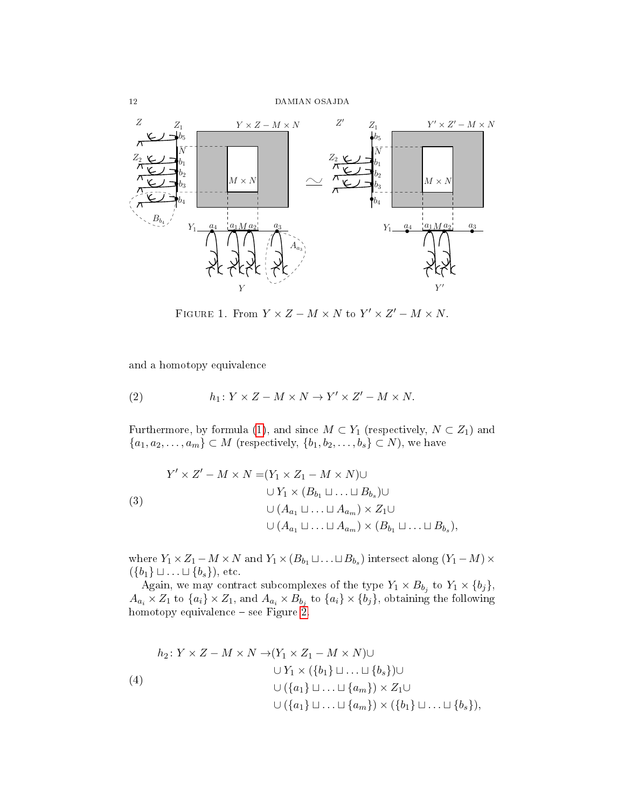

<span id="page-11-0"></span>FIGURE 1. From  $Y \times Z - M \times N$  to  $Y' \times Z' - M \times N$ .

and a homotopy equivalence

(2) 
$$
h_1: Y \times Z - M \times N \to Y' \times Z' - M \times N.
$$

Furthermore, by formula [\(1\)](#page-10-0), and since  $M \subset Y_1$  (respectively,  $N \subset Z_1$ ) and  ${a_1, a_2, \ldots, a_m} \subset M$  (respectively,  ${b_1, b_2, \ldots, b_s} \subset N$ ), we have

$$
Y' \times Z' - M \times N = (Y_1 \times Z_1 - M \times N) \cup
$$
  
\n
$$
\cup Y_1 \times (B_{b_1} \sqcup ... \sqcup B_{b_s}) \cup
$$
  
\n
$$
\cup (A_{a_1} \sqcup ... \sqcup A_{a_m}) \times Z_1 \cup
$$
  
\n
$$
\cup (A_{a_1} \sqcup ... \sqcup A_{a_m}) \times (B_{b_1} \sqcup ... \sqcup B_{b_s}),
$$

where  $Y_1 \times Z_1 - M \times N$  and  $Y_1 \times (B_{b_1} \sqcup \ldots \sqcup B_{b_s})$  intersect along  $(Y_1 - M) \times$  $({b_1} \sqcup \ldots \sqcup {b_s}),$  etc.

Again, we may contract subcomplexes of the type  $Y_1 \times B_{b_j}$  to  $Y_1 \times \{b_j\}$ ,  $A_{a_i}\times Z_1$  to  $\{a_i\}\times Z_1$ , and  $A_{a_i}\times B_{b_j}$  to  $\{a_i\}\times \{b_j\}$ , obtaining the following homotopy equivalence - see Figure [2.](#page-12-1)

$$
h_2: Y \times Z - M \times N \to (Y_1 \times Z_1 - M \times N) \cup
$$
  
\n
$$
\cup Y_1 \times (\{b_1\} \sqcup \ldots \sqcup \{b_s\}) \cup
$$
  
\n
$$
\cup (\{a_1\} \sqcup \ldots \sqcup \{a_m\}) \times Z_1 \cup
$$
  
\n
$$
\cup (\{a_1\} \sqcup \ldots \sqcup \{a_m\}) \times (\{b_1\} \sqcup \ldots \sqcup \{b_s\}),
$$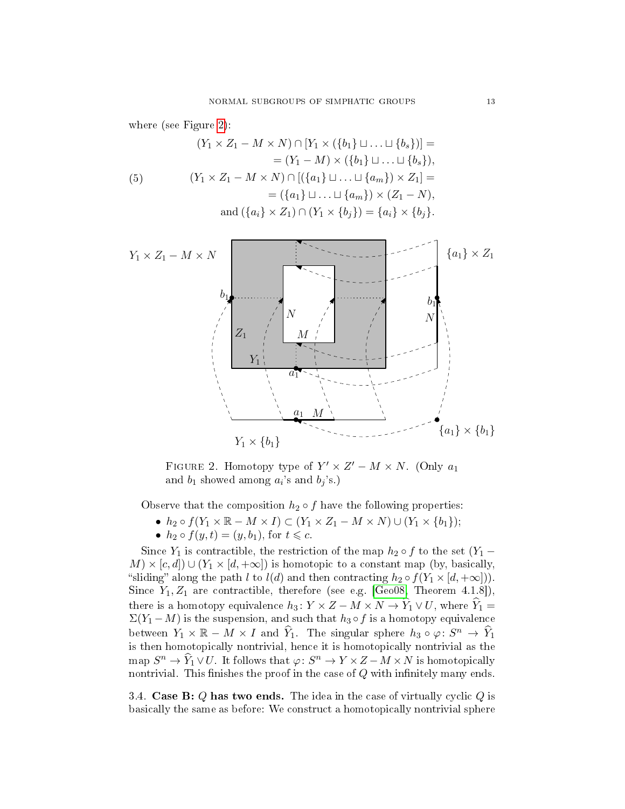where (see Figure [2\)](#page-12-1):

(5)  
\n
$$
(Y_1 \times Z_1 - M \times N) \cap [Y_1 \times (\{b_1\} \sqcup ... \sqcup \{b_s\})] =
$$
\n
$$
= (Y_1 - M) \times (\{b_1\} \sqcup ... \sqcup \{b_s\}),
$$
\n
$$
(Y_1 \times Z_1 - M \times N) \cap [(\{a_1\} \sqcup ... \sqcup \{a_m\}) \times Z_1] =
$$
\n
$$
= (\{a_1\} \sqcup ... \sqcup \{a_m\}) \times (Z_1 - N),
$$
\n
$$
and (\{a_i\} \times Z_1) \cap (Y_1 \times \{b_j\}) = \{a_i\} \times \{b_j\}.
$$



<span id="page-12-1"></span>FIGURE 2. Homotopy type of  $Y' \times Z' - M \times N$ . (Only  $a_1$ ) and  $b_1$  showed among  $a_i$ 's and  $b_j$ 's.)

Observe that the composition  $h_2 \circ f$  have the following properties:

- $h_2 \circ f(Y_1 \times \mathbb{R} M \times I) \subset (Y_1 \times Z_1 M \times N) \cup (Y_1 \times \{b_1\});$
- $h_2 \circ f(y, t) = (y, b_1)$ , for  $t \leq c$ .

Since  $Y_1$  is contractible, the restriction of the map  $h_2 \circ f$  to the set  $(Y_1 M \times [c, d] \cup (Y_1 \times [d, +\infty])$  is homotopic to a constant map (by, basically, "sliding" along the path l to  $l(d)$  and then contracting  $h_2 \circ f(Y_1 \times [d, +\infty]))$ . Since  $Y_1, Z_1$  are contractible, therefore (see e.g. [\[Geo08,](#page-18-16) Theorem 4.1.8]), there is a homotopy equivalence  $h_3: Y \times Z - M \times N \to \hat{Y}_1 \vee U$ , where  $\hat{Y}_1 =$  $\Sigma(Y_1 - M)$  is the suspension, and such that  $h_3 \circ f$  is a homotopy equivalence between  $Y_1 \times \mathbb{R} - M \times I$  and  $\widehat{Y}_1$ . The singular sphere  $h_3 \circ \varphi \colon S^n \to \widehat{Y}_1$ is then homotopically nontrivial, hence it is homotopically nontrivial as the map  $S^n \to \widehat{Y}_1 \vee U$ . It follows that  $\varphi \colon S^n \to Y \times Z - M \times N$  is homotopically nontrivial. This finishes the proof in the case of  $Q$  with infinitely many ends.

<span id="page-12-0"></span>3.4. Case B:  $Q$  has two ends. The idea in the case of virtually cyclic  $Q$  is basically the same as before: We construct a homotopically nontrivial sphere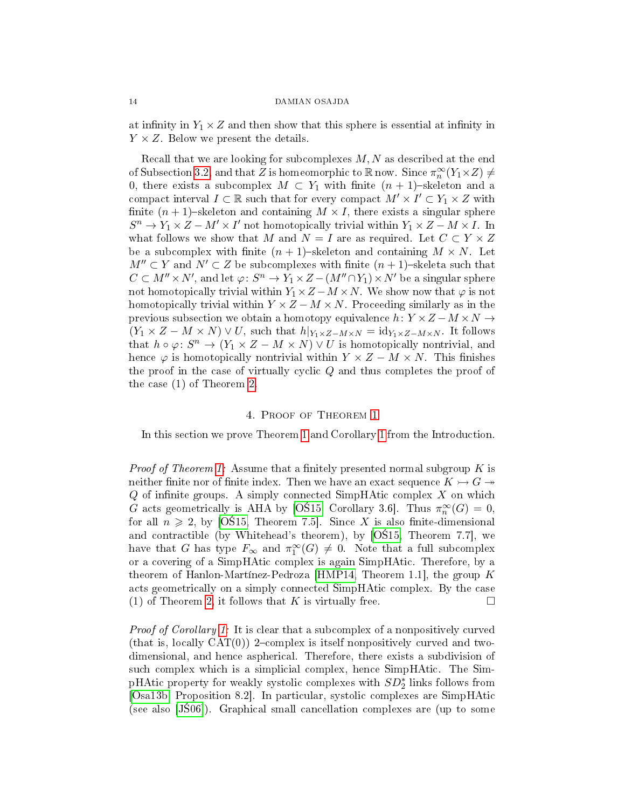at infinity in  $Y_1 \times Z$  and then show that this sphere is essential at infinity in  $Y \times Z$ . Below we present the details.

Recall that we are looking for subcomplexes  $M, N$  as described at the end of Subsection [3.2,](#page-8-2) and that Z is homeomorphic to R now. Since  $\pi_n^{\infty}(Y_1\times Z)\neq$ 0, there exists a subcomplex  $M \subset Y_1$  with finite  $(n + 1)$ -skeleton and a compact interval  $I \subset \mathbb{R}$  such that for every compact  $M' \times I' \subset Y_1 \times Z$  with finite  $(n + 1)$ -skeleton and containing  $M \times I$ , there exists a singular sphere  $S^n \to Y_1 \times Z - M' \times I'$  not homotopically trivial within  $Y_1 \times Z - M \times I$ . In what follows we show that M and  $N = I$  are as required. Let  $C \subset Y \times Z$ be a subcomplex with finite  $(n + 1)$ -skeleton and containing  $M \times N$ . Let  $M'' \subset Y$  and  $N' \subset Z$  be subcomplexes with finite  $(n + 1)$ -skeleta such that  $C \subset M'' \times N'$ , and let  $\varphi \colon S^n \to Y_1 \times Z - (M'' \cap Y_1) \times N'$  be a singular sphere not homotopically trivial within  $Y_1 \times Z - M \times N$ . We show now that  $\varphi$  is not homotopically trivial within  $Y \times Z - M \times N$ . Proceeding similarly as in the previous subsection we obtain a homotopy equivalence  $h: Y \times Z - M \times N \rightarrow$  $(Y_1 \times Z - M \times N) \vee U$ , such that  $h|_{Y_1 \times Z - M \times N} = id_{Y_1 \times Z - M \times N}$ . It follows that  $h \circ \varphi \colon S^n \to (Y_1 \times Z - M \times N) \vee U$  is homotopically nontrivial, and hence  $\varphi$  is homotopically nontrivial within  $Y \times Z - M \times N$ . This finishes the proof in the case of virtually cyclic  $Q$  and thus completes the proof of the case (1) of Theorem [2.](#page-2-0)

#### 4. Proof of Theorem [1](#page-1-2)

<span id="page-13-0"></span>In this section we prove Theorem [1](#page-1-2) and Corollary [1](#page-1-4) from the Introduction.

*Proof of Theorem [1:](#page-1-2)* Assume that a finitely presented normal subgroup  $K$  is neither finite nor of finite index. Then we have an exact sequence  $K \rightarrow G \rightarrow$  $Q$  of infinite groups. A simply connected SimpHAtic complex  $X$  on which G acts geometrically is AHA by [OS15, Corollary 3.6]. Thus  $\pi_n^{\infty}(G) = 0$ , for all  $n \geq 2$ , by [OS15, Theorem 7.5]. Since X is also finite-dimensional and contractible (by Whitehead's theorem), by  $[O$15, Theorem 7.7]$ , we have that G has type  $F_{\infty}$  and  $\pi_1^{\infty}(G) \neq 0$ . Note that a full subcomplex or a covering of a SimpHAtic complex is again SimpHAtic. Therefore, by a theorem of Hanlon-Martínez-Pedroza [\[HMP14,](#page-18-15) Theorem 1.1], the group  $K$ acts geometrically on a simply connected SimpHAtic complex. By the case (1) of Theorem [2,](#page-2-0) it follows that K is virtually free.  $\Box$ 

Proof of Corollary [1:](#page-1-4) It is clear that a subcomplex of a nonpositively curved (that is, locally  $CAT(0)$ ) 2-complex is itself nonpositively curved and twodimensional, and hence aspherical. Therefore, there exists a subdivision of such complex which is a simplicial complex, hence SimpHAtic. The SimpHAtic property for weakly systolic complexes with  $SD_2^*$  links follows from [\[Osa13b,](#page-18-9) Proposition 8.2]. In particular, systolic complexes are SimpHAtic (see also  $[J506]$ ). Graphical small cancellation complexes are (up to some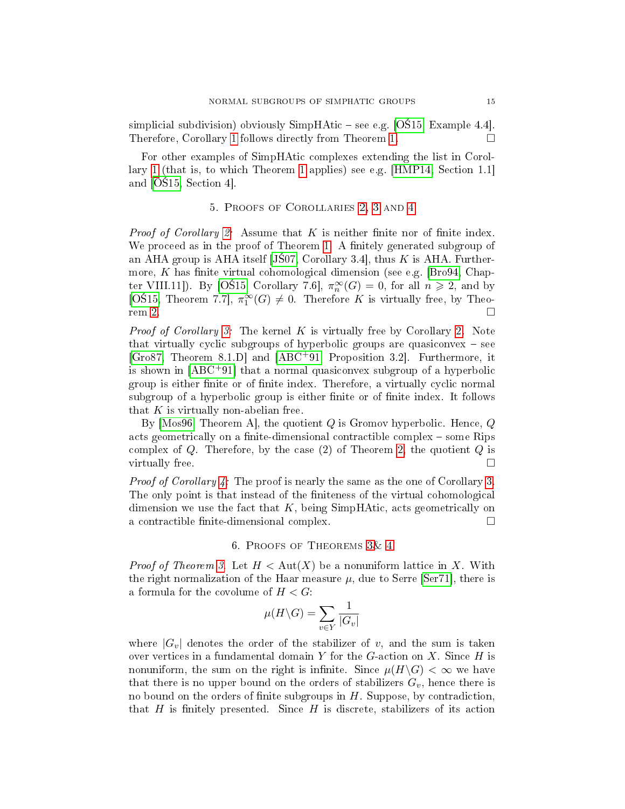simplicial subdivision) obviously SimpHAtic  $-$  see e.g. [OS15, Example 4.4]. Therefore, Corollary [1](#page-1-4) follows directly from Theorem [1.](#page-1-2)

For other examples of SimpHAtic complexes extending the list in Corollary [1](#page-1-4) (that is, to which Theorem [1](#page-1-2) applies) see e.g. [\[HMP14,](#page-18-15) Section 1.1] and [OS15, Section 4].

## 5. Proofs of Corollaries [2,](#page-2-2) [3](#page-2-1) and [4](#page-2-3)

<span id="page-14-1"></span>*Proof of Corollary [2:](#page-2-2)* Assume that K is neither finite nor of finite index. We proceed as in the proof of Theorem [1.](#page-1-2) A finitely generated subgroup of an AHA group is AHA itself [JS07, Corollary 3.4], thus  $K$  is AHA. Further-more, K has finite virtual cohomological dimension (see e.g. [\[Bro94,](#page-17-6) Chapter VIII.11]). By [OS15, Corollary 7.6],  $\pi_n^{\infty}(G) = 0$ , for all  $n \geq 2$ , and by [OS15, Theorem 7.7],  $\pi_1^{\infty}(G) \neq 0$ . Therefore K is virtually free, by Theo- $r = 2.$  $r = 2.$ 

*Proof of Corollary [3:](#page-2-1)* The kernel K is virtually free by Corollary [2.](#page-2-2) Note that virtually cyclic subgroups of hyperbolic groups are quasiconvex  $-$  see [\[Gro87,](#page-18-21) Theorem 8.1.D] and [\[ABC](#page-17-8)+91, Proposition 3.2]. Furthermore, it is shown in  $[ABC^+91]$  $[ABC^+91]$  that a normal quasiconvex subgroup of a hyperbolic group is either finite or of finite index. Therefore, a virtually cyclic normal subgroup of a hyperbolic group is either finite or of finite index. It follows that  $K$  is virtually non-abelian free.

By Mos96, Theorem A, the quotient Q is Gromov hyperbolic. Hence,  $Q$ acts geometrically on a finite-dimensional contractible complex  $-$  some Rips complex of  $Q$ . Therefore, by the case  $(2)$  of Theorem [2,](#page-2-0) the quotient  $Q$  is virtually free.

Proof of Corollary [4:](#page-2-3) The proof is nearly the same as the one of Corollary [3.](#page-2-1) The only point is that instead of the finiteness of the virtual cohomological dimension we use the fact that  $K$ , being SimpHAtic, acts geometrically on a contractible finite-dimensional complex.  $\Box$ 

## 6. Proofs of Theorems [3&](#page-3-0) [4](#page-3-1)

<span id="page-14-0"></span>*Proof of Theorem [3.](#page-3-0)* Let  $H < \text{Aut}(X)$  be a nonuniform lattice in X. With the right normalization of the Haar measure  $\mu$ , due to Serre [\[Ser71\]](#page-19-3), there is a formula for the covolume of  $H < G$ :

$$
\mu(H\backslash G)=\sum_{v\in Y}\frac{1}{|G_v|}
$$

where  $|G_v|$  denotes the order of the stabilizer of v, and the sum is taken over vertices in a fundamental domain Y for the  $G$ -action on X. Since  $H$  is nonuniform, the sum on the right is infinite. Since  $\mu(H\backslash G)<\infty$  we have that there is no upper bound on the orders of stabilizers  $G_v$ , hence there is no bound on the orders of finite subgroups in  $H$ . Suppose, by contradiction, that H is finitely presented. Since H is discrete, stabilizers of its action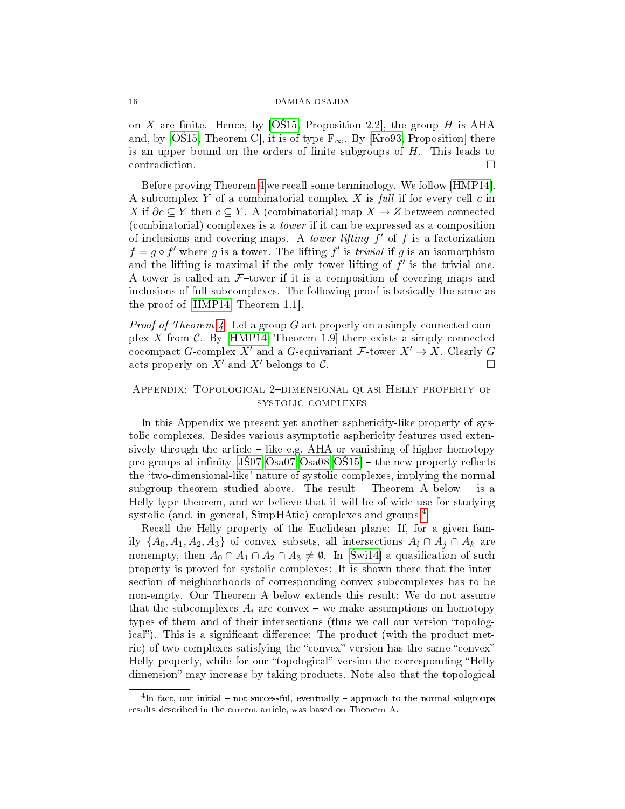on X are finite. Hence, by [OS15, Proposition 2.2], the group H is AHA and, by [OS15, Theorem C], it is of type  $F_{\infty}$ . By [\[Kro93,](#page-18-23) Proposition] there is an upper bound on the orders of finite subgroups of  $H$ . This leads to contradiction.

Before proving Theorem [4](#page-3-1) we recall some terminology. We follow [\[HMP14\]](#page-18-15). A subcomplex Y of a combinatorial complex X is full if for every cell  $c$  in X if  $\partial c \subseteq Y$  then  $c \subseteq Y$ . A (combinatorial) map  $X \to Z$  between connected (combinatorial) complexes is a tower if it can be expressed as a composition of inclusions and covering maps. A *tower lifting*  $f'$  of  $f$  is a factorization  $f = g \circ f'$  where g is a tower. The lifting f' is *trivial* if g is an isomorphism and the lifting is maximal if the only tower lifting of  $f'$  is the trivial one. A tower is called an  $F$ -tower if it is a composition of covering maps and inclusions of full subcomplexes. The following proof is basically the same as the proof of [\[HMP14,](#page-18-15) Theorem 1.1].

*Proof of Theorem [4.](#page-3-1)* Let a group G act properly on a simply connected com-plex X from C. By [\[HMP14,](#page-18-15) Theorem 1.9] there exists a simply connected cocompact G-complex X' and a G-equivariant  $\mathcal{F}\text{-}$  tower  $X' \to X$ . Clearly G acts properly on X' and X' belongs to C. acts properly on  $X'$  and  $X'$  belongs to  $\mathcal{C}$ .

# APPENDIX: TOPOLOGICAL 2-DIMENSIONAL QUASI-HELLY PROPERTY OF systolic complexes

In this Appendix we present yet another asphericity-like property of systolic complexes. Besides various asymptotic asphericity features used extensively through the article  $-$  like e.g. AHA or vanishing of higher homotopy pro-groups at infinity  $(J\text{S}07, \text{Os}a07, \text{Os}a08, \text{O}\text{S}15]$  – the new property reflects the `two-dimensional-like' nature of systolic complexes, implying the normal subgroup theorem studied above. The result  $-$  Theorem A below  $-$  is a Helly-type theorem, and we believe that it will be of wide use for studying systolic (and, in general, SimpHAtic) complexes and groups.<sup>[4](#page-15-0)</sup>

Recall the Helly property of the Euclidean plane: If, for a given family  $\{A_0, A_1, A_2, A_3\}$  of convex subsets, all intersections  $A_i \cap A_j \cap A_k$  are nonempty, then  $A_0 \cap A_1 \cap A_2 \cap A_3 \neq \emptyset$ . In [Świ14] a quasification of such property is proved for systolic complexes: It is shown there that the intersection of neighborhoods of corresponding convex subcomplexes has to be non-empty. Our Theorem A below extends this result: We do not assume that the subcomplexes  $A_i$  are convex – we make assumptions on homotopy types of them and of their intersections (thus we call our version "topological"). This is a significant difference: The product (with the product metric) of two complexes satisfying the "convex" version has the same "convex" Helly property, while for our "topological" version the corresponding "Helly dimension" may increase by taking products. Note also that the topological

<span id="page-15-0"></span> ${}^{4}$ In fact, our initial – not successful, eventually – approach to the normal subgroups results described in the current article, was based on Theorem A.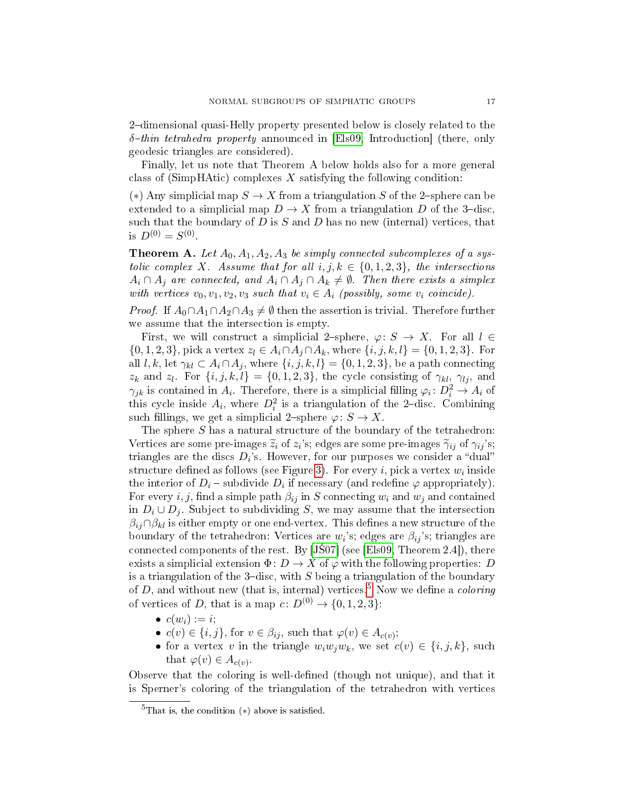2-dimensional quasi-Helly property presented below is closely related to the  $\delta$ -thin tetrahedra property announced in [\[Els09,](#page-18-24) Introduction] (there, only geodesic triangles are considered).

Finally, let us note that Theorem A below holds also for a more general class of (SimpHAtic) complexes  $X$  satisfying the following condition:

(\*) Any simplicial map  $S \to X$  from a triangulation S of the 2-sphere can be extended to a simplicial map  $D \to X$  from a triangulation D of the 3-disc. such that the boundary of  $D$  is  $S$  and  $D$  has no new (internal) vertices, that is  $D^{(0)} = S^{(0)}$ .

**Theorem A.** Let  $A_0$ ,  $A_1$ ,  $A_2$ ,  $A_3$  be simply connected subcomplexes of a systolic complex X. Assume that for all  $i, j, k \in \{0, 1, 2, 3\}$ , the intersections  $A_i \cap A_j$  are connected, and  $A_i \cap A_j \cap A_k \neq \emptyset$ . Then there exists a simplex with vertices  $v_0, v_1, v_2, v_3$  such that  $v_i \in A_i$  (possibly, some  $v_i$  coincide).

*Proof.* If  $A_0 \cap A_1 \cap A_2 \cap A_3 \neq \emptyset$  then the assertion is trivial. Therefore further we assume that the intersection is empty.

First, we will construct a simplicial 2-sphere,  $\varphi: S \to X$ . For all  $l \in$  ${0, 1, 2, 3}$ , pick a vertex  $z_l \in A_i \cap A_j \cap A_k$ , where  ${i, j, k, l} = {0, 1, 2, 3}$ . For all l, k, let  $\gamma_{kl} \subset A_i \cap A_j$ , where  $\{i, j, k, l\} = \{0, 1, 2, 3\}$ , be a path connecting  $z_k$  and  $z_l$ . For  $\{i, j, k, l\} = \{0, 1, 2, 3\}$ , the cycle consisting of  $\gamma_{kl}$ ,  $\gamma_{lj}$ , and  $\gamma_{jk}$  is contained in  $A_i$ . Therefore, there is a simplicial filling  $\varphi_i: D_i^2 \to A_i$  of this cycle inside  $A_i$ , where  $D_i^2$  is a triangulation of the 2-disc. Combining such fillings, we get a simplicial 2-sphere  $\varphi: S \to X$ .

The sphere S has a natural structure of the boundary of the tetrahedron: Vertices are some pre-images  $\tilde{z}_i$  of  $z_i$ 's; edges are some pre-images  $\tilde{\gamma}_{ij}$  of  $\gamma_{ij}$ 's; triangles are the discs  $D_i$ 's. However, for our purposes we consider a "dual" structure defined as follows (see Figure [3\)](#page-17-9). For every  $i,$  pick a vertex  $w_i$  inside the interior of  $D_i$  – subdivide  $D_i$  if necessary (and redefine  $\varphi$  appropriately). For every i, j, find a simple path  $\beta_{ij}$  in S connecting  $w_i$  and  $w_j$  and contained in  $D_i \cup D_j$ . Subject to subdividing S, we may assume that the intersection  $\beta_{ij} \cap \beta_{kl}$  is either empty or one end-vertex. This defines a new structure of the boundary of the tetrahedron: Vertices are  $w_i$ 's; edges are  $\beta_{ij}$ 's; triangles are connected components of the rest. By  $[J\dot{S}07]$  (see [\[Els09,](#page-18-24) Theorem 2.4]), there exists a simplicial extension  $\Phi: D \to X$  of  $\varphi$  with the following properties: D is a triangulation of the 3-disc, with  $S$  being a triangulation of the boundary of  $D$ , and without new (that is, internal) vertices.<sup>[5](#page-16-0)</sup> Now we define a *coloring* of vertices of D, that is a map  $c: D^{(0)} \to \{0, 1, 2, 3\}$ :

- $c(w_i) := i$ ;
- $c(v) \in \{i, j\}$ , for  $v \in \beta_{ij}$ , such that  $\varphi(v) \in A_{c(v)}$ ;
- for a vertex v in the triangle  $w_iw_iw_k$ , we set  $c(v) \in \{i, j, k\}$ , such that  $\varphi(v) \in A_{c(v)}$ .

Observe that the coloring is well-defined (though not unique), and that it is Sperner's coloring of the triangulation of the tetrahedron with vertices

<span id="page-16-0"></span> ${}^{5}$ That is, the condition (\*) above is satisfied.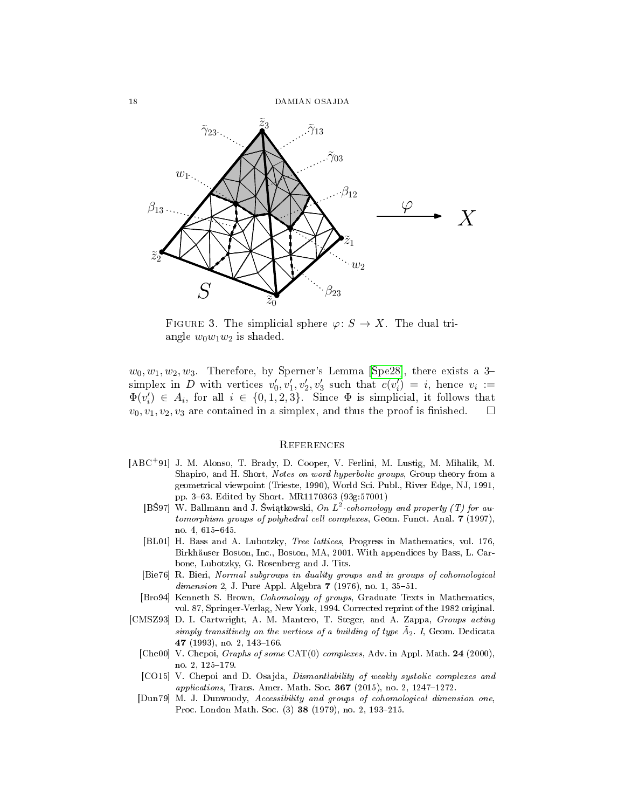

<span id="page-17-9"></span>FIGURE 3. The simplicial sphere  $\varphi: S \to X$ . The dual triangle  $w_0w_1w_2$  is shaded.

 $w_0, w_1, w_2, w_3$ . Therefore, by Sperner's Lemma [\[Spe28\]](#page-19-8), there exists a 3simplex in D with vertices  $v'_0, v'_1, v'_2, v'_3$  such that  $c(v'_i) = i$ , hence  $v_i :=$  $\Phi(v_i') \in A_i$ , for all  $i \in \{0, 1, 2, 3\}$ . Since  $\Phi$  is simplicial, it follows that  $v_0, v_1, v_2, v_3$  are contained in a simplex, and thus the proof is finished.  $\square$ 

### **REFERENCES**

- <span id="page-17-8"></span><span id="page-17-5"></span><span id="page-17-3"></span>[ABC<sup>+</sup>91] J. M. Alonso, T. Brady, D. Cooper, V. Ferlini, M. Lustig, M. Mihalik, M. Shapiro, and H. Short, Notes on word hyperbolic groups, Group theory from a geometrical viewpoint (Trieste, 1990), World Sci. Publ., River Edge, NJ, 1991, pp. 363. Edited by Short. MR1170363 (93g:57001)
	- [BŚ97] W. Ballmann and J. Świątkowski, On  $L^2$ -cohomology and property (T) for automorphism groups of polyhedral cell complexes, Geom. Funct. Anal. 7 (1997), no. 4, 615-645.
	- [BL01] H. Bass and A. Lubotzky, Tree lattices, Progress in Mathematics, vol. 176, Birkhäuser Boston, Inc., Boston, MA, 2001. With appendices by Bass, L. Carbone, Lubotzky, G. Rosenberg and J. Tits.
	- [Bie76] R. Bieri, Normal subgroups in duality groups and in groups of cohomological  $dimension\ 2, J. Pure Appl. Algebra\ 7 (1976), no. 1, 35-51.$
	- [Bro94] Kenneth S. Brown, Cohomology of groups, Graduate Texts in Mathematics, vol. 87, Springer-Verlag, New York, 1994. Corrected reprint of the 1982 original.
- <span id="page-17-7"></span><span id="page-17-6"></span><span id="page-17-4"></span><span id="page-17-2"></span><span id="page-17-1"></span><span id="page-17-0"></span>[CMSZ93] D. I. Cartwright, A. M. Mantero, T. Steger, and A. Zappa, Groups acting simply transitively on the vertices of a building of type  $\tilde{A}_2$ . I, Geom. Dedicata 47 (1993), no. 2, 143-166.
	- [Che00] V. Chepoi, *Graphs of some* CAT(0) *complexes*, Adv. in Appl. Math. 24 (2000), no. 2, 125-179.
	- [CO15] V. Chepoi and D. Osajda, Dismantlability of weakly systolic complexes and applications, Trans. Amer. Math. Soc.  $367$  (2015), no. 2, 1247-1272.
	- [Dun79] M. J. Dunwoody, Accessibility and groups of cohomological dimension one, Proc. London Math. Soc. (3) 38 (1979), no. 2, 193-215.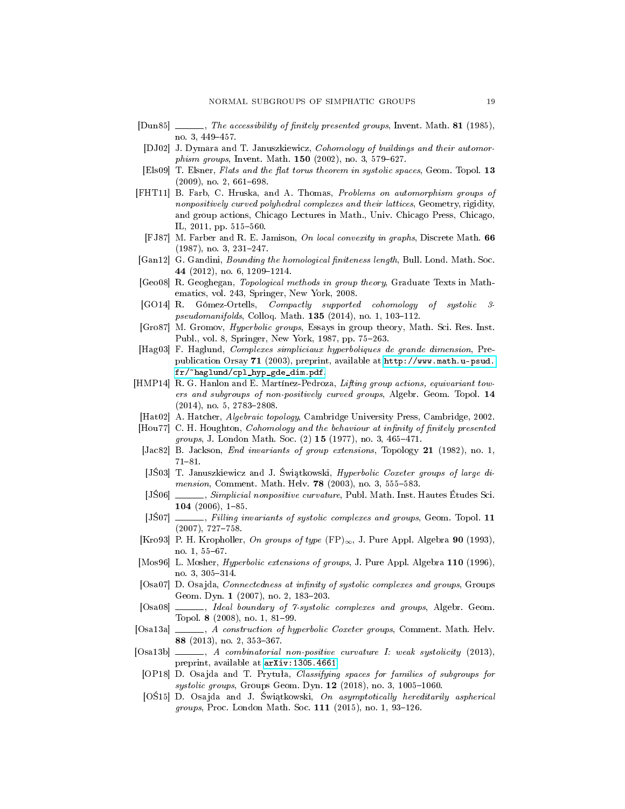- <span id="page-18-20"></span> $[Dun85]$  , The accessibility of finitely presented groups, Invent. Math. 81 (1985), no. 3, 449-457.
- <span id="page-18-14"></span>[DJ02] J. Dymara and T. Januszkiewicz, Cohomology of buildings and their automor*phism groups*, Invent. Math.  $150$  (2002), no. 3, 579-627.
- <span id="page-18-24"></span>[Els09] T. Elsner, Flats and the flat torus theorem in systolic spaces, Geom. Topol.  $13$  $(2009)$ , no. 2, 661-698.
- <span id="page-18-12"></span>[FHT11] B. Farb, C. Hruska, and A. Thomas, Problems on automorphism groups of nonpositively curved polyhedral complexes and their lattices, Geometry, rigidity, and group actions, Chicago Lectures in Math., Univ. Chicago Press, Chicago, IL,  $2011$ , pp.  $515-560$ .
- <span id="page-18-0"></span>[FJ87] M. Farber and R. E. Jamison, On local convexity in graphs, Discrete Math. 66  $(1987)$ , no. 3, 231-247.
- <span id="page-18-13"></span>[Gan12] G. Gandini, *Bounding the homological finiteness length*, Bull. Lond. Math. Soc. 44 (2012), no. 6, 1209-1214.
- <span id="page-18-16"></span>[Geo08] R. Geoghegan, Topological methods in group theory, Graduate Texts in Mathematics, vol. 243, Springer, New York, 2008.
- <span id="page-18-10"></span>[GO14] R. Gómez-Ortells, Compactly supported cohomology of systolic 3  $pseudomanifolds, Colloq. Math. 135 (2014), no. 1, 103-112.$
- <span id="page-18-21"></span>[Gro87] M. Gromov, Hyperbolic groups, Essays in group theory, Math. Sci. Res. Inst. Publ., vol. 8, Springer, New York, 1987, pp. 75–263.
- <span id="page-18-2"></span>[Hag03] F. Haglund, Complexes simpliciaux hyperboliques de grande dimension, Prepublication Orsay 71 (2003), preprint, available at [http://www.math.u-psud.](http://www.math.u-psud.fr/~haglund/cpl_hyp_gde_dim.pdf) [fr/~haglund/cpl\\_hyp\\_gde\\_dim.pdf.](http://www.math.u-psud.fr/~haglund/cpl_hyp_gde_dim.pdf)
- <span id="page-18-15"></span>[HMP14] R. G. Hanlon and E. Martínez-Pedroza, Lifting group actions, equivariant towers and subgroups of non-positively curved groups, Algebr. Geom. Topol. 14  $(2014)$ , no. 5, 2783-2808.
- <span id="page-18-17"></span>[Hat02] A. Hatcher, Algebraic topology, Cambridge University Press, Cambridge, 2002.
- <span id="page-18-18"></span>[Hou77] C. H. Houghton, *Cohomology and the behaviour at infinity of finitely presented* groups, J. London Math. Soc.  $(2)$  15  $(1977)$ , no. 3, 465-471.
- <span id="page-18-19"></span>[Jac82] B. Jackson, End invariants of group extensions, Topology 21 (1982), no. 1,  $71 - 81.$
- <span id="page-18-3"></span>[JS03] T. Januszkiewicz and J. Świątkowski, Hyperbolic Coxeter groups of large dimension, Comment. Math. Helv.  $78$  (2003), no. 3, 555-583.
- <span id="page-18-1"></span>[JS06] , Simplicial nonpositive curvature, Publ. Math. Inst. Hautes Études Sci. 104  $(2006)$ , 1-85.
- <span id="page-18-6"></span>[JS07]  $\_\_\_\_\$ , Filling invariants of systolic complexes and groups, Geom. Topol. 11  $(2007), 727 - 758.$
- <span id="page-18-23"></span>[Kro93] P. H. Kropholler, On groups of type  $(FP)_{\infty}$ , J. Pure Appl. Algebra 90 (1993), no. 1, 55-67.
- <span id="page-18-22"></span>[Mos96] L. Mosher, *Hyperbolic extensions of groups*, J. Pure Appl. Algebra 110 (1996), no. 3, 305-314.
- <span id="page-18-7"></span>[Osa07] D. Osajda, *Connectedness at infinity of systolic complexes and groups*, Groups Geom. Dyn. 1 (2007), no. 2, 183-203.
- <span id="page-18-8"></span>[Osa08]  $\_\_\_\_\_\$  Ideal boundary of 7-systolic complexes and groups, Algebr. Geom. Topol. 8 (2008), no. 1, 81-99.
- <span id="page-18-4"></span>[Osa13a] , A construction of hyperbolic Coxeter groups, Comment. Math. Helv. 88 (2013), no. 2, 353-367.
- <span id="page-18-9"></span> $[Osa13b]$  , A combinatorial non-positive curvature I: weak systolicity (2013), preprint, available at [arXiv:1305.4661.](arXiv:1305.4661)
- <span id="page-18-11"></span>[OP18] D. Osajda and T. Prytuła, Classifying spaces for families of subgroups for  $systolic \ groups, Groups Geom. Dyn. 12 (2018), no. 3, 1005-1060.$
- <span id="page-18-5"></span>[OS15] D. Osajda and J. Świątkowski, On asymptotically hereditarily aspherical groups, Proc. London Math. Soc.  $111$   $(2015)$ , no. 1, 93-126.